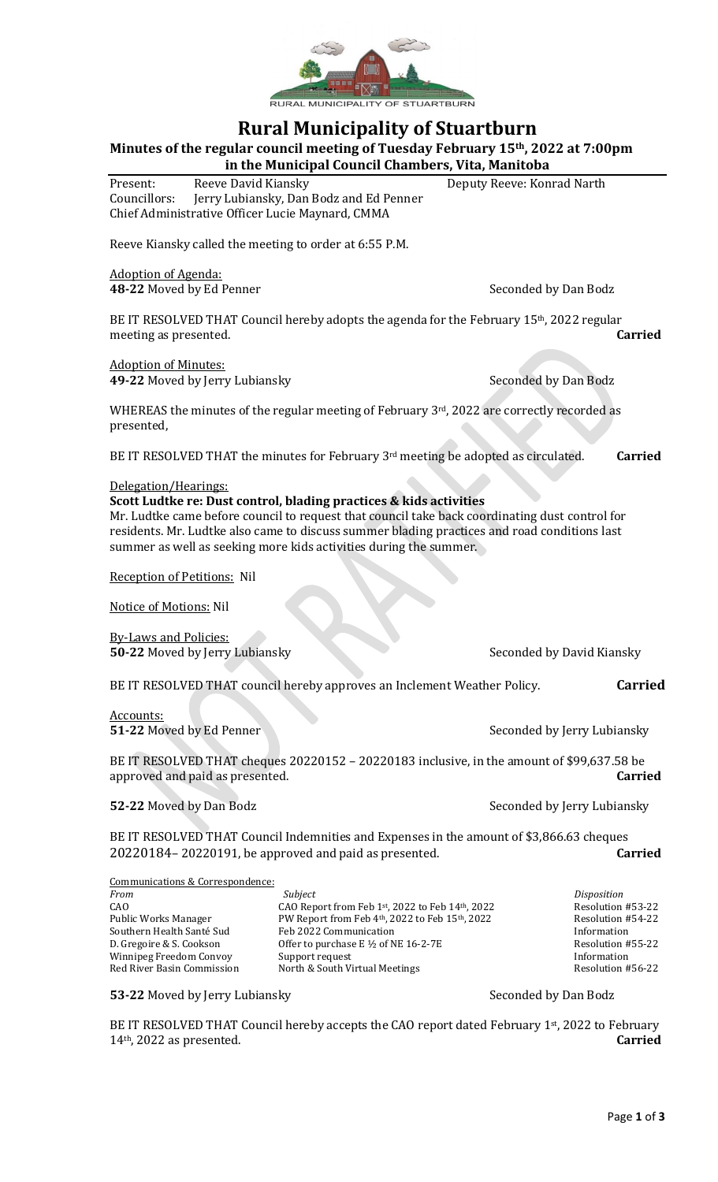

# **Rural Municipality of Stuartburn**

**Minutes of the regular council meeting of Tuesday February 15th, 2022 at 7:00pm**

**in the Municipal Council Chambers, Vita, Manitoba** Present: Reeve David Kiansky Deputy Reeve: Konrad Narth Councillors: Jerry Lubiansky, Dan Bodz and Ed Penner Chief Administrative Officer Lucie Maynard, CMMA

Reeve Kiansky called the meeting to order at 6:55 P.M.

Adoption of Agenda:

**48-22** Moved by Ed Penner Seconded by Dan Bodz

BE IT RESOLVED THAT Council hereby adopts the agenda for the February 15<sup>th</sup>, 2022 regular meeting as presented. **Carried**

Adoption of Minutes: **49-22** Moved by Jerry Lubiansky Seconded by Dan Bodz

WHEREAS the minutes of the regular meeting of February 3rd, 2022 are correctly recorded as

presented,

BE IT RESOLVED THAT the minutes for February 3<sup>rd</sup> meeting be adopted as circulated. **Carried** 

#### Delegation/Hearings:

#### **Scott Ludtke re: Dust control, blading practices & kids activities**

Mr. Ludtke came before council to request that council take back coordinating dust control for residents. Mr. Ludtke also came to discuss summer blading practices and road conditions last summer as well as seeking more kids activities during the summer.

Reception of Petitions: Nil

Notice of Motions: Nil

By-Laws and Policies: **50-22** Moved by Jerry Lubiansky Seconded by David Kiansky

BE IT RESOLVED THAT council hereby approves an Inclement Weather Policy. **Carried**

Accounts: **51-22** Moved by Ed Penner Seconded by Jerry Lubiansky

BE IT RESOLVED THAT cheques 20220152 – 20220183 inclusive, in the amount of \$99,637.58 be approved and paid as presented. **Carried**

**52-22** Moved by Dan Bodz Seconded by Jerry Lubiansky

BE IT RESOLVED THAT Council Indemnities and Expenses in the amount of \$3,866.63 cheques 20220184– 20220191, be approved and paid as presented. **Carried**

| Communications & Correspondence: |                                                 |                   |
|----------------------------------|-------------------------------------------------|-------------------|
| From                             | Subject                                         | Disposition       |
| CAO                              | CAO Report from Feb 1st, 2022 to Feb 14th, 2022 | Resolution #53-22 |
| Public Works Manager             | PW Report from Feb 4th, 2022 to Feb 15th, 2022  | Resolution #54-22 |
| Southern Health Santé Sud        | Feb 2022 Communication                          | Information       |
| D. Gregoire & S. Cookson         | Offer to purchase $E \frac{1}{2}$ of NE 16-2-7E | Resolution #55-22 |
| Winnipeg Freedom Convoy          | Support request                                 | Information       |
| Red River Basin Commission       | North & South Virtual Meetings                  | Resolution #56-22 |

#### **53-22** Moved by Jerry Lubiansky Seconded by Dan Bodz

BE IT RESOLVED THAT Council hereby accepts the CAO report dated February 1st, 2022 to February 14th, 2022 as presented. **Carried**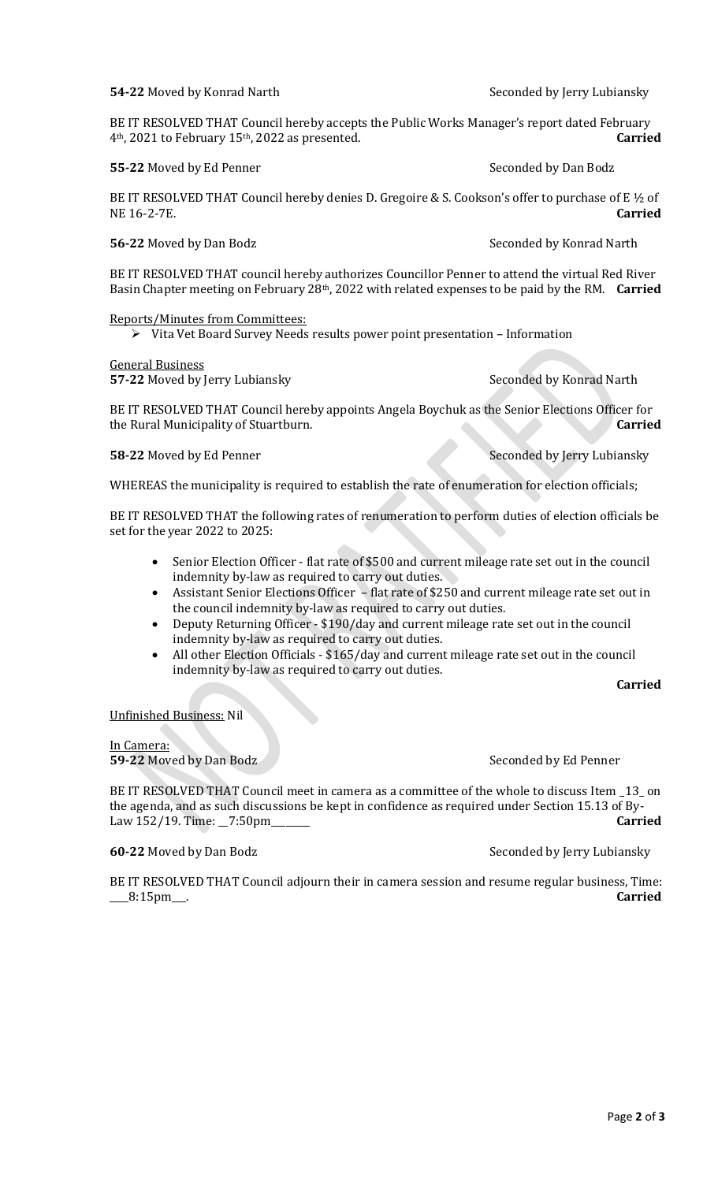# **54-22** Moved by Konrad Narth Seconded by Jerry Lubiansky

BE IT RESOLVED THAT Council hereby accepts the Public Works Manager's report dated February 4th, 2021 to February 15th, 2022 as presented. **Carried**

#### **55-22** Moved by Ed Penner Seconded by Dan Bodz

BE IT RESOLVED THAT Council hereby denies D. Gregoire & S. Cookson's offer to purchase of E ½ of NE 16-2-7E. **Carried**

### **56-22** Moved by Dan Bodz **Seconded by Konrad Narth**

BE IT RESOLVED THAT council hereby authorizes Councillor Penner to attend the virtual Red River Basin Chapter meeting on February 28th, 2022 with related expenses to be paid by the RM. **Carried**

Reports/Minutes from Committees:

➢ Vita Vet Board Survey Needs results power point presentation – Information

General Business

**57-22** Moved by Jerry Lubiansky Seconded by Konrad Narth

BE IT RESOLVED THAT Council hereby appoints Angela Boychuk as the Senior Elections Officer for the Rural Municipality of Stuartburn. **Carried**

**58-22** Moved by Ed Penner Seconded by Jerry Lubiansky

WHEREAS the municipality is required to establish the rate of enumeration for election officials;

BE IT RESOLVED THAT the following rates of renumeration to perform duties of election officials be set for the year 2022 to 2025:

- Senior Election Officer flat rate of \$500 and current mileage rate set out in the council indemnity by-law as required to carry out duties.
- Assistant Senior Elections Officer flat rate of \$250 and current mileage rate set out in the council indemnity by-law as required to carry out duties.
- Deputy Returning Officer \$190/day and current mileage rate set out in the council indemnity by-law as required to carry out duties.
- All other Election Officials \$165/day and current mileage rate set out in the council indemnity by-law as required to carry out duties.

#### **Carried**

#### Unfinished Business: Nil

# In Camera:

**59-22** Moved by Dan Bodz Seconded by Ed Penner

BE IT RESOLVED THAT Council meet in camera as a committee of the whole to discuss Item \_13\_ on the agenda, and as such discussions be kept in confidence as required under Section 15.13 of By-Law 152/19. Time: \_\_7:50pm\_\_\_\_\_\_\_\_ **Carried**

# **60-22** Moved by Dan Bodz **Seconded by Jerry Lubiansky** Seconded by Jerry Lubiansky

BE IT RESOLVED THAT Council adjourn their in camera session and resume regular business, Time: \_\_\_\_8:15pm\_\_\_. **Carried**